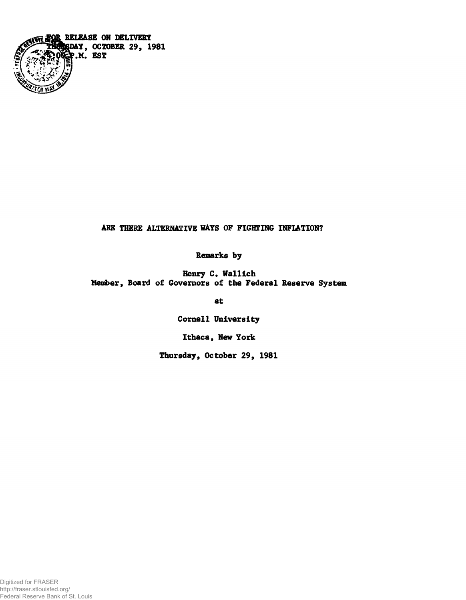

# ARE THERE ALTERNATIVE WAYS OF FIGHTING INFLATION?

**Remarks by**

**Henry C. Wallich Member, Board of Governors of the Federal Reserve System**

**at**

**Cornell University**

**Ithaca, New York**

**Thursday, October 29, 1981**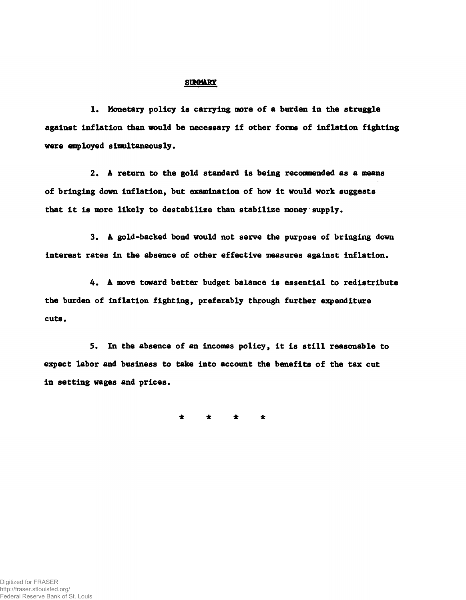### **SUMMARY**

**1. Monetary policy Is carrying more of a burden in the struggle against inflation than would be necessary if other forms of inflation fighting were employed simultaneously.**

**2. A return to the gold standard is being recommended as a means of bringing down inflation, but examination of how it would work suggests that it is more likely to destabilize than stabilize money supply.**

**3. A gold-backed bond would not serve the purpose of bringing down interest rates in the absence of other effective measures against inflation.**

**4. A move toward better budget balance is essential to redistribute the burden of inflation fighting, preferably through further expenditure cuts.**

**5. In the absence of an incomes policy, it is still reasonable to expect labor and business to take into account the benefits of the tax cut in setting wages and prices.**

**\* \* \* \***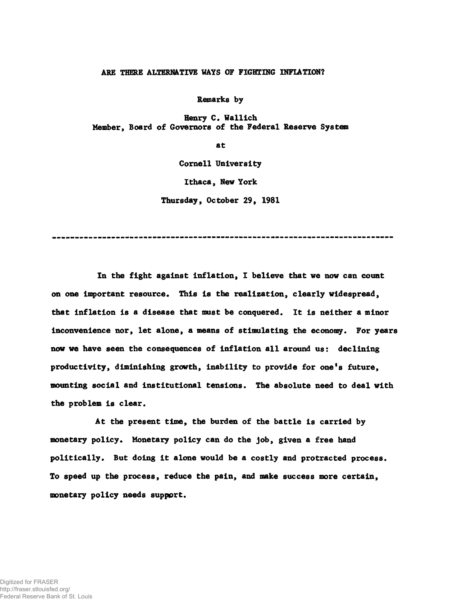#### ARE THERE ALTERNATIVE WATS OF FIGHTING INFLATION?

**Remarks by**

**Henry C. Wallich Member, Board of Governors of the Federal Reserve System**

**at**

**Cornell University**

**Ithaca, New York**

**Thursday, October 29, 1981**

**In the fight against inflation, I believe that we now can count on one important resource. This is the realization, clearly widespread, that inflation is a disease that must be conquered. It is neither a minor inconvenience nor, let alone, a means of stimulating the economy. For years now we have seen the consequences of inflation all around us: declining productivity, diminishing growth, inability to provide for one's future, mounting social and institutional tensions. The absolute need to deal with the problem is clear.**

**At the present time, the burden of the battle is carried by monetary policy. Monetary policy can do the job, given a free hand politically. But doing it alone would be a costly and protracted process. To speed up the process, reduce the pain, and make success more certain, monetary policy needs support.**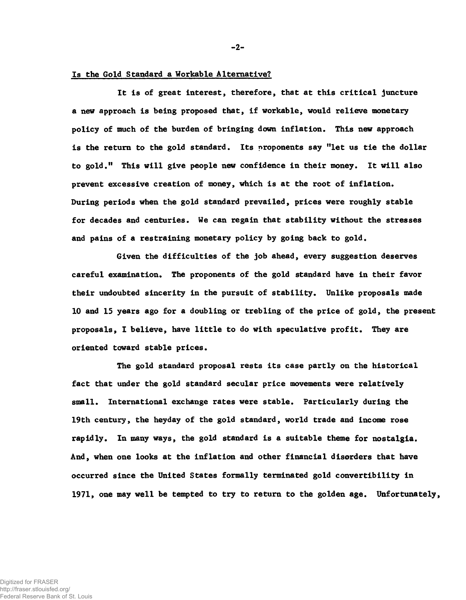## **Is the Gold Standard a Workable Alternative?**

**It is of great interest, therefore, that at this critical juncture a new approach is being proposed that, if workable, would relieve monetary policy of much of the burden of bringing down inflation. This new approach is the return to the gold standard. Its proponents say "let us tie the dollar to gold." This will give people new confidence in their money. It will also prevent excessive creation of money, which is at the root of inflation. During periods when the gold standard prevailed, prices were roughly stable for decades and centuries. We can regain that stability without the stresses and pains of a restraining monetary policy by going back to gold.**

**Given the difficulties of the job ahead, every suggestion deserves careful examination. The proponents of the gold standard have in their favor their undoubted sincerity in the pursuit of stability. Unlike proposals made 10 and 15 years ago for a doubling or trebling of the price of gold, the present proposals, I believe, have little to do with speculative profit. They are oriented toward stable prices.**

**The gold standard proposal rests its case partly on the historical fact that under the gold standard secular price movements were relatively small. International exchange rates were stable. Particularly during the 19th century, the heyday of the gold standard, world trade and income rose rapidly. In many ways, the gold standard is a suitable theme for nostalgia. And, when one looks at the inflation and other financial disorders that have occurred since the United States formally terminated gold convertibility in 1971, one may well be tempted to try to return to the golden age. Unfortunately,**

 $-2-$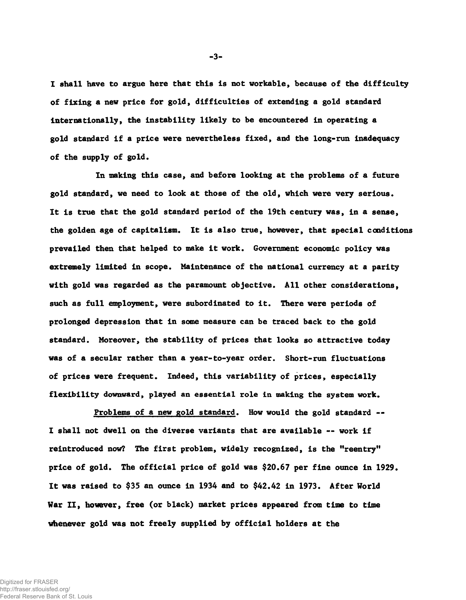**I shall have to argue here that this is not workable, because of the difficulty of fixing a new price for gold, difficulties of extending a gold standard internationally, the instability likely to be encountered in operating a gold standard if a price were nevertheless fixed, and the long-run inadequacy of the supply of gold.**

**In making this case, and before looking at the problems of a future gold standard, we need to look at those of the old, which were very serious. It is true that the gold standard period of the 19th century was, in a sense, the golden age of capitalism. It is also true, however, that special conditions prevailed then that helped to make it work. Government economic policy was extremely limited in scope. Maintenance of the national currency at a parity with gold was regarded as the paramount objective. All other considerations, such as full employment, were subordinated to it. There were periods of prolonged depression that in some measure can be traced back to the gold standard. Moreover, the stability of prices that looks so attractive today was of a secular rather than a year-to-year order. Short-run fluctuations of prices were frequent. Indeed, this variability of prices, especially flexibility downward, played an essential role in making the system work.**

**Problems of a new gold standard. How would the gold standard — I shall not dwell on the diverse variants that are available — work if reintroduced now? The first problem, widely recognized, is the "reentry" price of gold. The official price of gold was \$20.67 per fine ounce in 1929. It was raised to \$35 an ounce in 1934 and to \$42.42 in 1973. After World War II, however, free (or black) market prices appeared from time to time whenever gold was not freely supplied by official holders at the**

-3-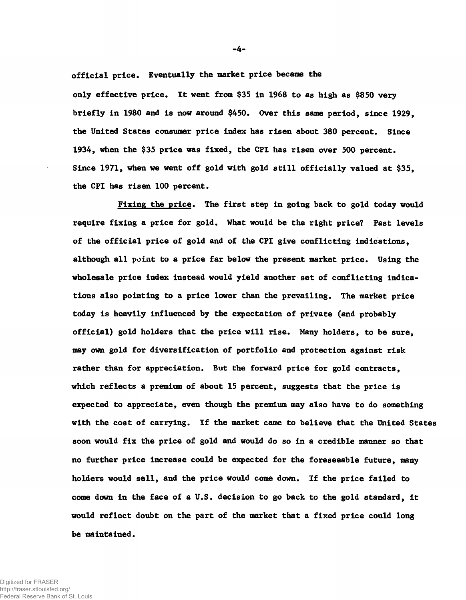**official price. Eventually the market price became the only effective price. It went from \$35 in 1968 to as high as \$850 very briefly in 1980 and is now around \$450. Over this same period, since 1929, the United States consumer price index has risen about 380 percent. Since 1934, when the \$35 price was fixed, the CPI has risen over 500 percent. Since 1971, when we went off gold with gold still officially valued at \$35, the CPI has risen 100 percent.**

**Fixing the price. The first step in going back to gold today would require fixing a price for gold. What would be the right price? Past levels of the official price of gold and of the CPI give conflicting indications, although all point to a price far below the present market price. Using the wholesale price index instead would yield another set of conflicting indications also pointing to a price lower than the prevailing. The market price today is heavily influenced by the expectation of private (and probably official) gold holders that the price will rise. Many holders, to be sure, may own gold for diversification of portfolio and protection against risk rather than for appreciation. But the forward price for gold contracts, which reflects a premium of about 15 percent, suggests that the price is expected to appreciate, even though the premium may also have to do something with the cost of carrying. If the market came to believe that the United States soon would fix the price of gold and would do so in a credible manner so that no further price increase could be expected for the foreseeable future, many holders would sell, and the price would come down. If the price failed to come down in the face of a U.S. decision to go back to the gold standard, it would reflect doubt on the part of the market that a fixed price could long be maintained.**

-4-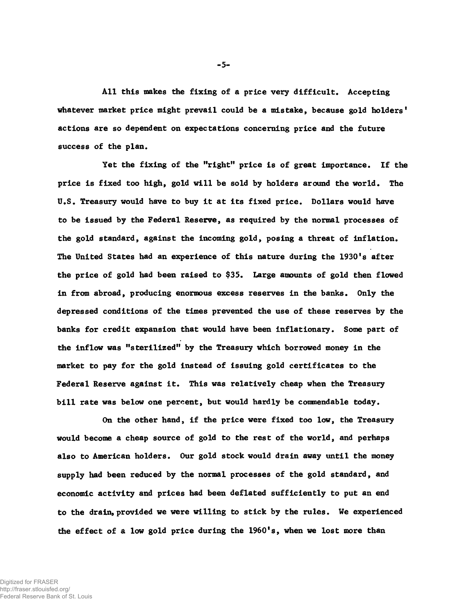**All this makes the fixing of a price very difficult. Accepting whatever market price might prevail could be a mistake, because gold holders' actions are so dependent on expectations concerning price and the future success of the plan.**

**Yet the fixing of the "right" price is of great importance. If the price is fixed too high, gold will be sold by holders around the world. The U.S. Treasury would have to buy it at its fixed price. Dollars would have to be issued by the Federal Reserve, as required by the normal processes of the gold standard, against the incoming gold, posing a threat of inflation. The United States had an experience of this nature during the 1930's after the price of gold had been raised to \$35. Large amounts of gold then flowed in from abroad, producing enormous excess reserves in the banks. Only the depressed conditions of the times prevented the use of these reserves by the banks for credit expansion that would have been inflationary. Some part of the inflow was "sterilized" by the Treasury which borrowed money in the market to pay for the gold instead of issuing gold certificates to the Federal Reserve against it. This was relatively cheap when the Treasury bill rate was below one percent, but would hardly be commendable today.**

**On the other hand, if the price were fixed too low, the Treasury would become a cheap source of gold to the rest of the world, and perhaps also to American holders. Our gold stock would drain away until the money supply had been reduced by the normal processes of the gold standard, and economic activity and prices had been deflated sufficiently to put an end to the drain, provided we were willing to stick by the rules. We experienced the effect of a low gold price during the 1960's, when we lost more than**

 $-5-$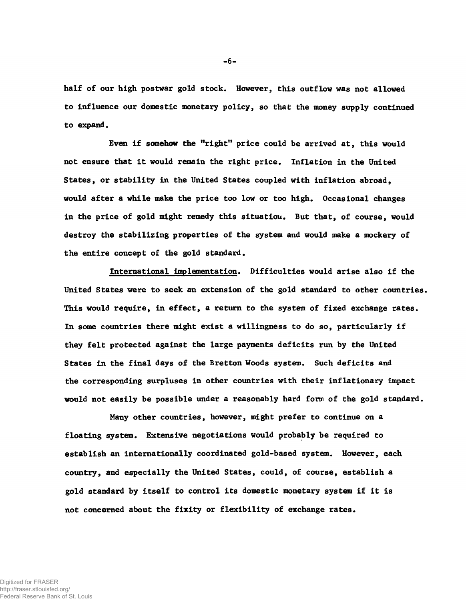**half of our high postwar gold stock. However, this outflow was not allowed to influence our domestic monetary policy, so that the money supply continued to expand.**

**Even if somehow the "right" price could be arrived at, this would not ensure that it would remain the right price. Inflation in the United States, or stability in the United States coupled with inflation abroad, would after a while make the price too low or too high. Occasional changes in the price of gold might remedy this situation. But that, of course, would destroy the stabilizing properties of the system and would make a mockery of the entire concept of the gold standard.**

**International implementation. Difficulties would arise also if the United States were to seek an extension of the gold standard to other countries. This would require, in effect, a return to the system of fixed exchange rates. In some countries there might exist a willingness to do so, particularly if they felt protected against the large payments deficits run by the United States in the final days of the Bretton Woods system. Such deficits and the corresponding surpluses in other countries with their inflationary impact would not easily be possible under a reasonably hard form of the gold standard.**

**Many other countries, however, might prefer to continue on a floating system. Extensive negotiations would probably be required to establish an internationally coordinated gold-based system. However, each country, and especially the United States, could, of course, establish a gold standard by itself to control its domestic monetary system if it is not concerned about the fixity or flexibility of exchange rates.**

-6-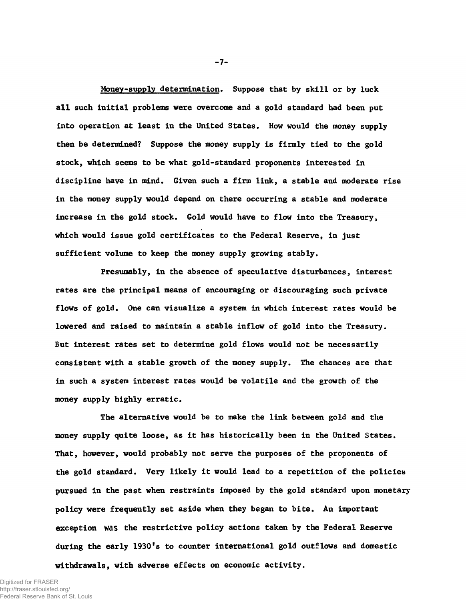**Money-supply determination. Suppose that by skill or by luck all such initial problems were overcome and a gold standard had been put into operation at least in the United States. How would the money supply then be determined? Suppose the money supply is firmly tied to the gold stock, which seems to be what gold-standard proponents interested in discipline have in mind. Given such a firm link, a stable and moderate rise in the money supply would depend on there occurring a stable and moderate increase in the gold stock. Gold would have to flow into the Treasury, which would issue gold certificates to the Federal Reserve, in just sufficient volume to keep the money supply growing stably.**

**Presumably, in the absence of speculative disturbances, interest rates are the principal means of encouraging or discouraging such private flows of gold. One can visualize a system in which interest rates would be lowered and raised to maintain a stable inflow of gold into the Treasury. But interest rates set to determine gold flows would not be necessarily consistent with a stable growth of the money supply. The chances are that in such a system interest rates would be volatile and the growth of the money supply highly erratic.**

**The alternative would be to make the link between gold and tiie money supply quite loose, as it has historically been in the United States. That, however, would probably not serve the purposes of the proponents of the gold standard. Very likely it would lead to a repetition of the policies pursued in the past when restraints imposed by the gold standard upon monetary policy were frequently set aside when they began to bite. An important exception** was **the restrictive policy actions taken by the Federal Reserve during the early 1930's to counter international gold outflows and domestic withdrawals, with adverse effects on economic activity.**

 $-7-$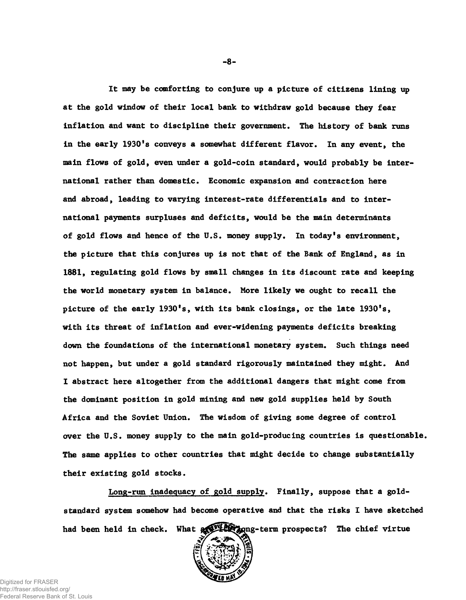**It may be comforting to conjure up a picture of citizens lining up at the gold window of their local bank to withdraw gold because they fear inflation and want to discipline their government. The history of bank runs in the early 1930's conveys a somewhat different flavor. In any event, the main flows of gold, even under a gold-coin standard, would probably be international rather than domestic. Economic expansion and contraction here and abroad, leading to varying interest-rate differentials and to international payments surpluses and deficits, would be the main determinants of gold flows and hence of the U.S. money supply. In today's environment, the picture that this conjures up is not that of the Bank of England, as in 1881, regulating gold flows by small changes in its discount rate and keeping the world monetary system in balance. More likely we ought to recall the picture of the early 1930's, with its bank closings, or the late 1930's, with its threat of inflation and ever-widening payments deficits breaking down the foundations of the international monetary system. Such things need not happen, but under a gold standard rigorously maintained they might. And I abstract here altogether from the additional dangers that might come from the dominant position in gold mining and new gold supplies held by South Africa and the Soviet Union. The wisdom of giving some degree of control over the U.S. money supply to the main gold-producing countries is questionable. The same applies to other countries that might decide to change substantially their existing gold stocks.**

**Long-run inadequacy of gold supply. Finally, suppose that a goldstandard system somehow had become operative and that the risks I have sketched** had been held in check. What  $\frac{1}{2}$  the prospects? The chief virtue



-8-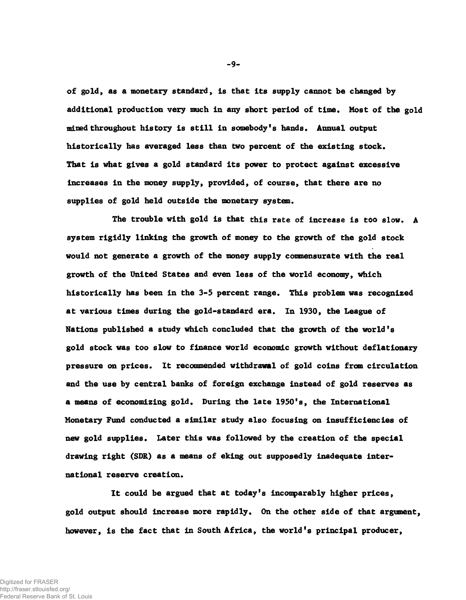**of gold, as a monetary standard, is that Its supply cannot be changed by additional production very much in any short period of time. Most of the gold mined throughout history is still in somebody's hands. Annual output historically has averaged less than two percent of the existing stock. That is what gives a gold standard its power to protect against excessive increases in the money supply, provided, of course, that there are no supplies of gold held outside the monetary system.**

**The trouble with gold is that this rate of increase is too slow. A system rigidly linking the growth of money to the growth of the gold stock would not generate a growth of the money supply conmensúrate with the real growth of the United States and even less of the world economy, which historically has been in the 3-5 percent range. This problem was recognized at various times during the gold-standard era. In 1930, the League of Nations published a study which concluded that the growth of the world's gold stock was too slow to finance world economic growth without deflationary pressure on prices. It recommended withdrawal of gold coins from circulation and the use by central banks of foreign exchange instead of gold reserves as a means of economizing gold. During the late 1950's, the International Monetary Fund conducted a similar study also focusing on insufficiencies of new gold supplies. Later this was followed by the creation of the special drawing right (SDR) as a means of eking out supposedly inadequate international reserve creation.**

**It could be argued that at today's incomparably higher prices, gold output should increase more rapidly. On the other side of that argument, however, is the fact that in South Africa, the world's principal producer,**

-9-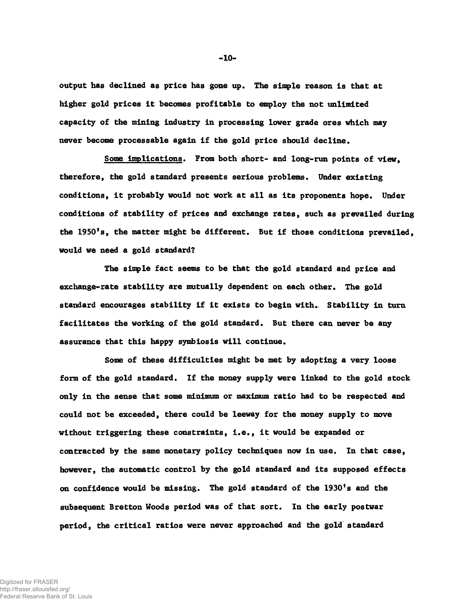**output has declined as price has gone up. The simple reason is that at higher gold prices it becomes profitable to employ the not unlimited capacity of the mining industry in processing lower grade ores which may never become processable again if the gold price should decline.**

**Some implications. From both short- and long-run points of view, therefore, the gold standard presents serious problems. Under existing conditions, it probably would not work at all as its proponents hope. Under conditions of stability of prices and exchange rates, such as prevailed during the 1950's, the matter might be different. But if those conditions prevailed, would we need a gold standard?**

**The simple fact seems to be that the gold standard and price and exchange-rate stability are mutually dependent on each other. The gold standard encourages stability if it exists to begin with.. Stability in turn facilitates the working of the gold standard. But there can never be any assurance that this happy symbiosis will continue.**

**Some of these difficulties might be met by adopting a very loose form of the gold standard. If the money supply were linked to the gold stock only in the sense that some minimum or maximum ratio had to be respected and could not be exceeded, there could be leeway for the money supply to move without triggering these constraints, i.e., it would be expanded or contracted by the same monetary policy techniques now in use. In that case, however, the automatic control by the gold standard and its supposed effects on confidence would be missing. The gold standard of the 1930's and the subsequent Bretton Woods period was of that sort. In the early postwar period, the critical ratios were never approached and the gold standard**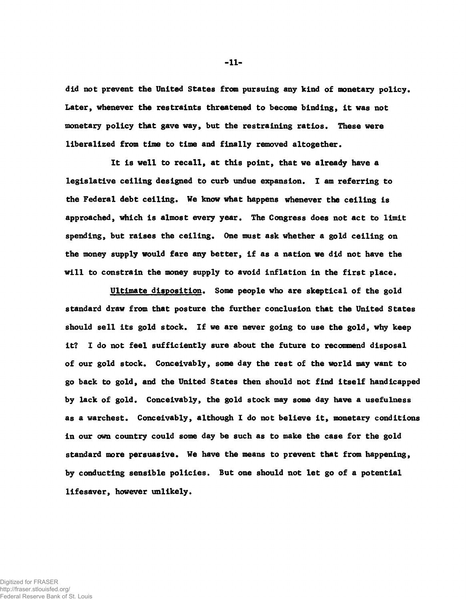**did not prevent the United States from pursuing any kind of monetary policy. Later, whenever the restraints threatened to become binding, It was not monetary policy that gave way, but the restraining ratios. These were liberalized from time to time and finally removed altogether.**

**It is well to recall, at this point, that we already have a legislative ceiling designed to curb undue expansion. I am referring to the Federal debt ceiling. We know what happens whenever the ceiling is approached, which is almost every year. The Congress does not act to limit spending, but raises the ceiling. One must ask whether a gold ceiling on the money supply would fare any better, if as a nation we did not have the will to constrain the money supply to avoid inflation in the first place.**

**Ultimate disposition. Some people who are skeptical of the gold standard draw from that posture the further conclusion that the United States should sell its gold stock. If we are never going to use the gold, why keep it? I do not feel sufficiently sure about the future to recommend disposal of our gold stock. Conceivably, some day the rest of the world may want to go back to gold, and the United States then should not find itself handicapped by lack of gold. Conceivably, the gold stock may some day have a usefulness as a warchest. Conceivably, although I do not believe it, monetary conditions in our own country could some day be such as to make the case for the gold standard more persuasive. We have the means to prevent that from happening, by conducting sensible policies. But one should not let go of a potential lifesaver, however unlikely.**

 $-11-$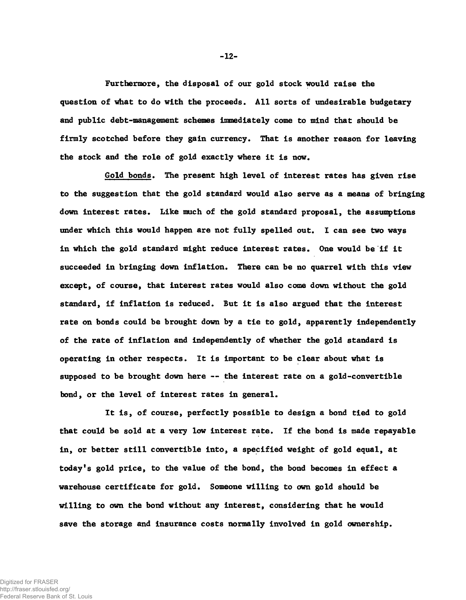**Furthermore, the disposal of our gold stock would raise the question of what to do with the proceeds. All sorts of undesirable budgetary and public debt-management schemes immediately come to mind that should be firmly scotched before they gain currency. That is another reason for leaving the stock and the role of gold exactly where it is now.**

**Gold bonds. The present high level of interest rates has given rise to the suggestion that the gold standard would also serve as a means of bringing down interest rates. Like much of the gold standard proposal, the assumptions under which this would happen are not fully spelled out. I can see two ways in which the gold standard might reduce interest rates. One would be if it succeeded in bringing down inflation. There can be no quarrel with this view except, of course, that interest rates would also come down without the gold standard, if inflation is reduced. But it is also argued that the interest rate on bonds could be brought down by a tie to gold, apparently independently of the rate of inflation and independently of whether the gold standard is operating in other respects. It is important to be clear about what is supposed to be brought down here — the interest rate on a gold-convertible bond, or the level of interest rates in general.**

**It is, of course, perfectly possible to design a bond tied to gold that could be sold at a very low interest rate. If the bond is made repayable in, or better still convertible into, a specified weight of gold equal, at today's gold price, to the value of the bond, the bond becomes in effect a warehouse certificate for gold. Someone willing to own gold should be willing to own the bond without any interest, considering that he would save the storage and insurance costs normally involved in gold ownership.**

-12-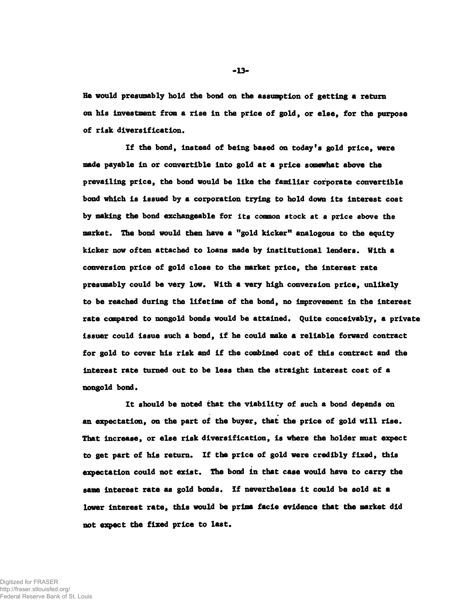**He would presumably hold the bond on the assumption of getting a return on his investment from a rise in the price of gold, or else, for the purpose of risk diversification.**

**If the bond, instead of being based on today's gold price, were made payable in or convertible into gold at a price somewhat above the prevailing price, the bond would be like the familiar corporate convertible bond which is issued by a corporation trying to hold down its interest cost by making the bond exchangeable for its common stock at a price above the market. The bond would then have a "gold kicker" analogous to the equity kicker now often attached to loans made by institutional lenders. With a conversion price of gold close to the market price, the Interest rate presumably could be very low. With a very high conversion price, unlikely to be reached during the lifetime of the bond, no improvement in the interest rate compared to nongold bonds would be attained. Quite conceivably, a private issuer could issue such a bond, if he could make a reliable forward contract for gold to cover his risk and if the combined cost of this contract and the interest rate turned out to be less than the straight interest cost of a nongold bond.**

**It should be noted that the viability of such a bond depends on an expectation, on the part of the buyer, that the price of gold will rise. That increase, or else risk diversification, is where the holder must expect to get part of his return. If the price of gold were credibly fixed, this expectation could not exist. The bond in that case would have to carry the same interest rate as gold bonds. If nevertheless it could be sold at a lower Interest rate, this would be prime facie evidence that the market did not expect the fixed price to last.**

-13-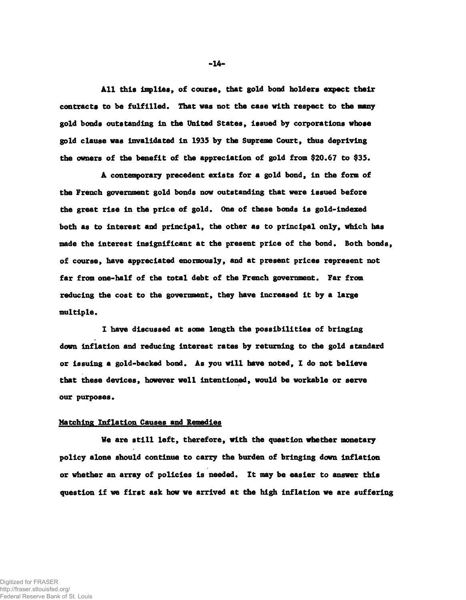**All this implies, of course, that gold bond holders expect their contracts to be fulfilled. That was not the case with respect to the many gold bonds outstanding in the United States, issued by corporations whose gold clause was invalidated in 1935 by the Supreme Court, thus depriving the owners of the benefit of the appreciation of gold from \$20.67 to \$35.**

**A contemporary precedent exists for a gold bond, in the form of the French government gold bonds now outstanding that were issued before the great rise in the price of gold. One of these bonds is gold-indexed both as to interest and principal, the other as to principal only, which has made the interest insignificant at the present price of the bond. Both bonds, of course, have appreciated enormously, and at present prices represent not far from one-half of the total debt of the French government. Far from reducing the cost to the government, they have increased it by a large multiple.**

**1 have discussed at some length the possibilities of bringing down inflation and reducing interest rates by returning to the gold standard or issuing a gold-backed bond. As you will have noted, I do not believe that these devices, however well intentioned, would be workable or serve our purposes.**

#### **Hatching Inflation Causes and Remedies**

**We are still left, therefore, with the question whether monetary policy alone should continue to carry the burden of bringing down inflation or whether an array of policies Is needed. It may be easier to answer this question if we first ask how we arrived at the high inflation we are suffering**

-14-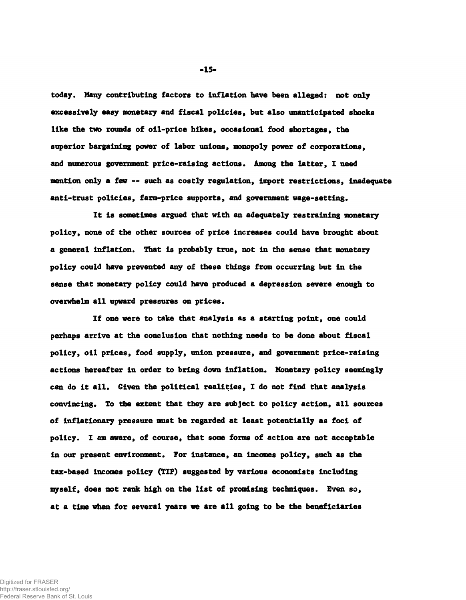**today. Many contributing factors to Inflation have been alleged: not only excessively easy monetary and fiscal policies, but also unanticipated shocks like the two rounds of oil-price hikes, occasional food shortages, the superior bargaining power of labor unions, monopoly power of corporations, and numerous government price-raising actions. Among the latter, I need mention only a few — such as costly regulation,** import **restrictions, inadequate anti-trust policies, facm-price supports, and government wage-setting.**

**It is sometimes argued that with an adequately restraining monetary policy, none of the other sources of price increases could have brought about a general inflation. That is probably true, not in the sense that monetary policy could have prevented any of these things from occurring but in the sense that monetary policy could have produced a depression severe enough to overwhelm all upward pressures on prices.**

**If one were to take that analysis as a starting point, one could perhaps arrive at the conclusion that nothing needs to be done about fiscal policy, oil prices, food supply, union pressure, and government price-raising actions hereafter in order to bring down inflation. Monetary policy seemingly can do it all. Given the political realities, I do not find that analysis convincing. To the extent that they are subject to policy action, all sources of inflationary pressure must be regarded at least potentially as foci of policy. I am aware, of course, that some forms of action are not acceptable in our present environment. For instance, an incomes policy, such as the tax-based incomes policy (TIP) suggested by various economists including myself, does not rank high on the list of promising techniques. Even so, at a time when for several years we are all going to be the beneficiaries**

-15-